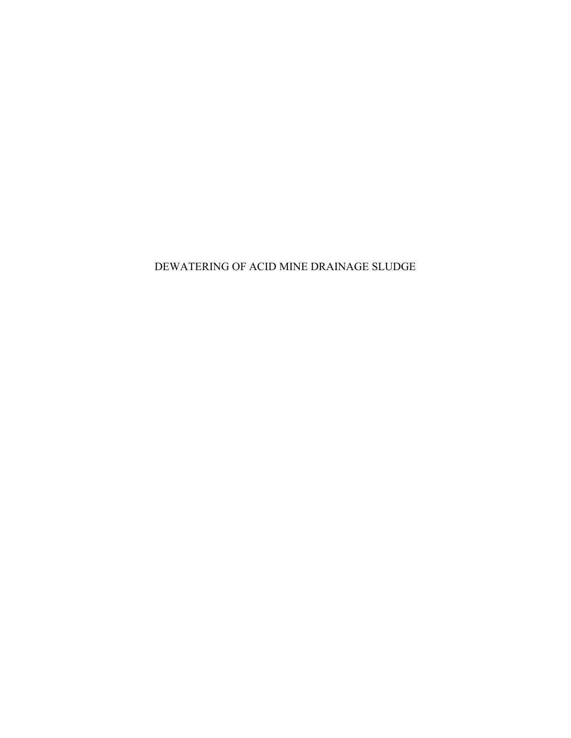DEWATERING OF ACID MINE DRAINAGE SLUDGE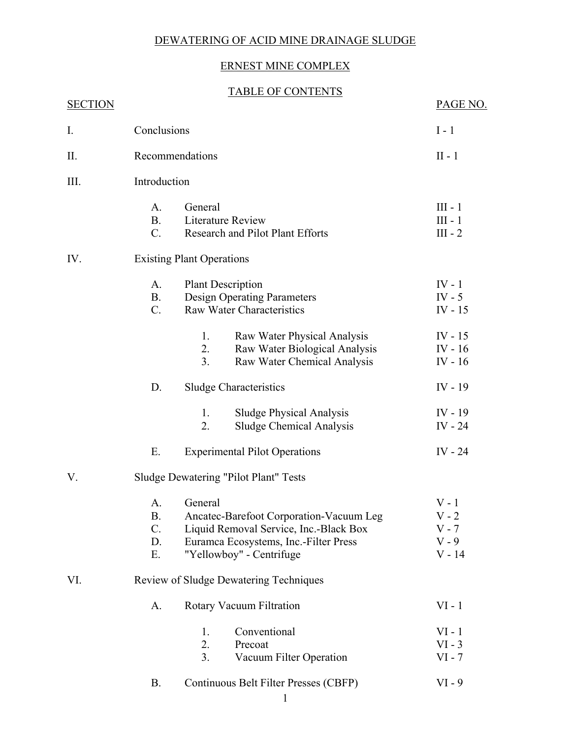## DEWATERING OF ACID MINE DRAINAGE SLUDGE

## ERNEST MINE COMPLEX

## TABLE OF CONTENTS

| <b>SECTION</b> |                                              |                                                                                                                                                                   | PAGE NO.                                             |  |
|----------------|----------------------------------------------|-------------------------------------------------------------------------------------------------------------------------------------------------------------------|------------------------------------------------------|--|
| I.             | Conclusions                                  | $I - 1$                                                                                                                                                           |                                                      |  |
| Π.             | Recommendations                              | $II - 1$                                                                                                                                                          |                                                      |  |
| Ш.             | Introduction                                 |                                                                                                                                                                   |                                                      |  |
|                | A.<br><b>B.</b><br>$C_{\cdot}$               | General<br>Literature Review<br>Research and Pilot Plant Efforts                                                                                                  | $III - 1$<br>$III - 1$<br>$III - 2$                  |  |
| IV.            | <b>Existing Plant Operations</b>             |                                                                                                                                                                   |                                                      |  |
|                | A.<br><b>B.</b><br>$C_{\cdot}$               | <b>Plant Description</b><br><b>Design Operating Parameters</b><br><b>Raw Water Characteristics</b>                                                                | $IV - 1$<br>$IV - 5$<br>IV - $15$                    |  |
|                |                                              | Raw Water Physical Analysis<br>1.<br>2.<br>Raw Water Biological Analysis<br>3 <sub>1</sub><br>Raw Water Chemical Analysis                                         | $IV - 15$<br>$IV - 16$<br>$IV - 16$                  |  |
|                | D.                                           | <b>Sludge Characteristics</b>                                                                                                                                     | $IV - 19$                                            |  |
|                |                                              | <b>Sludge Physical Analysis</b><br>1.<br>2.<br><b>Sludge Chemical Analysis</b>                                                                                    | $IV - 19$<br>IV - $24$                               |  |
|                | E.                                           | <b>Experimental Pilot Operations</b>                                                                                                                              | IV $-24$                                             |  |
| V.             | <b>Sludge Dewatering "Pilot Plant" Tests</b> |                                                                                                                                                                   |                                                      |  |
|                | A.<br>В.<br>C.<br>D.<br>Ε.                   | General<br>Ancatec-Barefoot Corporation-Vacuum Leg<br>Liquid Removal Service, Inc.-Black Box<br>Euramca Ecosystems, Inc.-Filter Press<br>"Yellowboy" - Centrifuge | $V - 1$<br>$V - 2$<br>$V - 7$<br>$V - 9$<br>$V - 14$ |  |
| VI.            | Review of Sludge Dewatering Techniques       |                                                                                                                                                                   |                                                      |  |
|                | A.                                           | Rotary Vacuum Filtration                                                                                                                                          | $VI - 1$                                             |  |
|                |                                              | Conventional<br>1.<br>2.<br>Precoat<br>3.<br>Vacuum Filter Operation                                                                                              | $VI - 1$<br>$VI - 3$<br>$VI - 7$                     |  |
|                | <b>B.</b>                                    | Continuous Belt Filter Presses (CBFP)                                                                                                                             | $VI - 9$                                             |  |